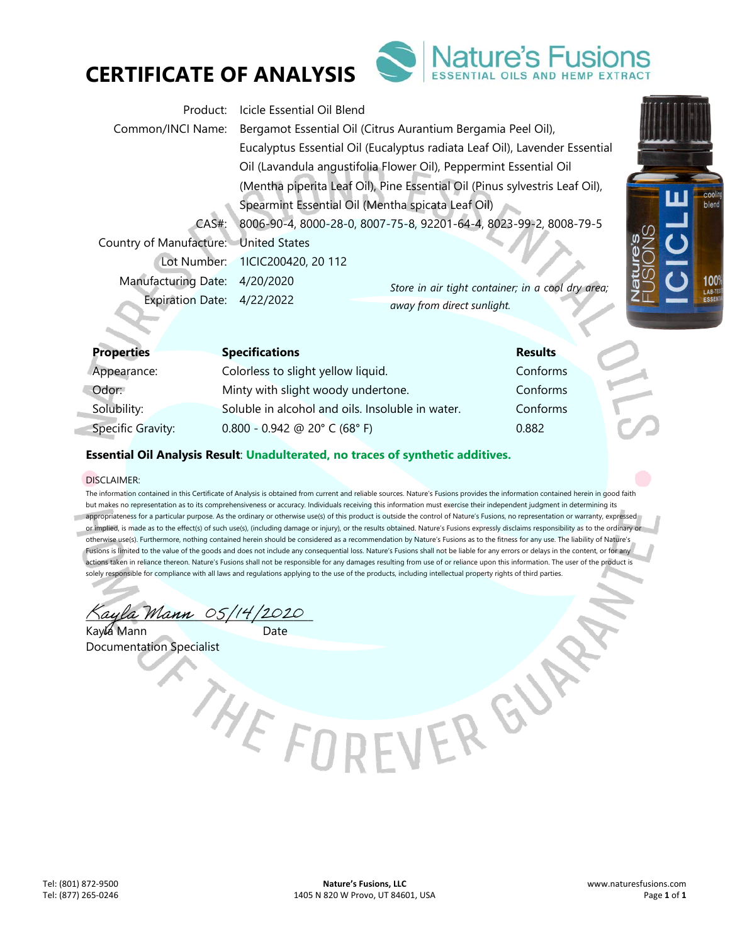



| Product:                              | Icicle Essential Oil Blend                                                  |                                |  |
|---------------------------------------|-----------------------------------------------------------------------------|--------------------------------|--|
| Common/INCI Name:                     | Bergamot Essential Oil (Citrus Aurantium Bergamia Peel Oil),                |                                |  |
|                                       | Eucalyptus Essential Oil (Eucalyptus radiata Leaf Oil), Lavender Essential  |                                |  |
|                                       | Oil (Lavandula angustifolia Flower Oil), Peppermint Essential Oil           |                                |  |
|                                       | (Mentha piperita Leaf Oil), Pine Essential Oil (Pinus sylvestris Leaf Oil), |                                |  |
|                                       | Spearmint Essential Oil (Mentha spicata Leaf Oil)                           |                                |  |
| $CAS#$ :                              | 8006-90-4, 8000-28-0, 8007-75-8, 92201-64-4, 8023-99-2, 8008-79-5           |                                |  |
| Country of Manufacture: United States |                                                                             |                                |  |
|                                       | Lot Number: 1ICIC200420, 20 112                                             |                                |  |
| <b>Manufacturing Date:</b>            | 4/20/2020<br>Store in air tight container; in a cool dry area;              |                                |  |
| Expiration Date: 4/22/2022            | away from direct sunlight.                                                  | $\zeta\,\overline{\mathbb{L}}$ |  |
|                                       |                                                                             |                                |  |

| <b>Properties</b>        | <b>Specifications</b>                            | <b>Results</b> |
|--------------------------|--------------------------------------------------|----------------|
| Appearance:              | Colorless to slight yellow liquid.               | Conforms       |
| Odor:                    | Minty with slight woody undertone.               | Conforms       |
| Solubility:              | Soluble in alcohol and oils. Insoluble in water. | Conforms       |
| <b>Specific Gravity:</b> | $0.800 - 0.942$ @ 20° C (68° F)                  | 0.882          |

# **Essential Oil Analysis Result**: **Unadulterated, no traces of synthetic additives.**

## DISCLAIMER:

The information contained in this Certificate of Analysis is obtained from current and reliable sources. Nature's Fusions provides the information contained herein in good faith but makes no representation as to its comprehensiveness or accuracy. Individuals receiving this information must exercise their independent judgment in determining its appropriateness for a particular purpose. As the ordinary or otherwise use(s) of this product is outside the control of Nature's Fusions, no representation or warranty, expressed or implied, is made as to the effect(s) of such use(s), (including damage or injury), or the results obtained. Nature's Fusions expressly disclaims responsibility as to the ordinary or otherwise use(s). Furthermore, nothing contained herein should be considered as a recommendation by Nature's Fusions as to the fitness for any use. The liability of Nature's Fusions is limited to the value of the goods and does not include any consequential loss. Nature's Fusions shall not be liable for any errors or delays in the content, or for any actions taken in reliance thereon. Nature's Fusions shall not be responsible for any damages resulting from use of or reliance upon this information. The user of the product is solely responsible for compliance with all laws and regulations applying to the use of the products, including intellectual property rights of third parties.

Kayla Mann 05/14/2020

Kayla Mann Date Documentation Specialist

cooli

100° LAB-TE<br>ESSEN

THE FORFVER &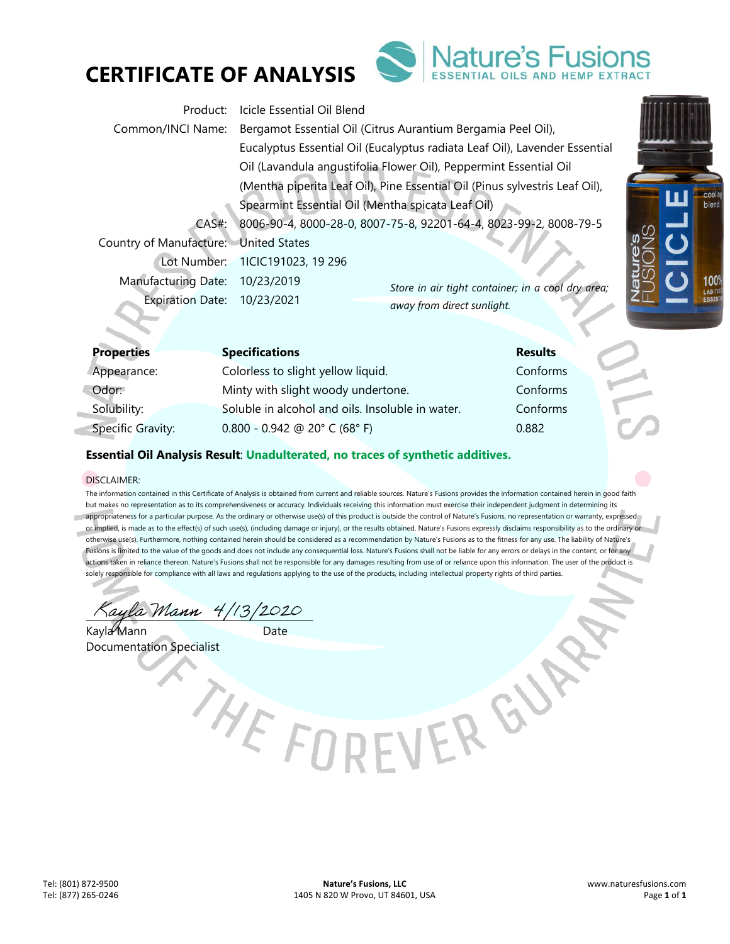



| Product:                              | Icicle Essential Oil Blend                                                  |  |  |
|---------------------------------------|-----------------------------------------------------------------------------|--|--|
| Common/INCI Name:                     | Bergamot Essential Oil (Citrus Aurantium Bergamia Peel Oil),                |  |  |
|                                       | Eucalyptus Essential Oil (Eucalyptus radiata Leaf Oil), Lavender Essential  |  |  |
|                                       | Oil (Lavandula angustifolia Flower Oil), Peppermint Essential Oil           |  |  |
|                                       | (Mentha piperita Leaf Oil), Pine Essential Oil (Pinus sylvestris Leaf Oil), |  |  |
|                                       | Spearmint Essential Oil (Mentha spicata Leaf Oil)                           |  |  |
| $CAS#$ :                              | 8006-90-4, 8000-28-0, 8007-75-8, 92201-64-4, 8023-99-2, 8008-79-5           |  |  |
| Country of Manufacture: United States |                                                                             |  |  |
|                                       | Lot Number: 1ICIC191023, 19 296                                             |  |  |
| <b>Manufacturing Date:</b>            | 10/23/2019<br>Store in air tight container; in a cool dry area;             |  |  |
| Expiration Date: 10/23/2021           | $^{\prime}\bar{\Pi}$<br>away from direct sunlight.                          |  |  |
|                                       |                                                                             |  |  |

| <b>Properties</b>        | <b>Specifications</b>                            | <b>Results</b> |
|--------------------------|--------------------------------------------------|----------------|
| Appearance:              | Colorless to slight yellow liquid.               | Conforms       |
| Odor:                    | Minty with slight woody undertone.               | Conforms       |
| Solubility:              | Soluble in alcohol and oils. Insoluble in water. | Conforms       |
| <b>Specific Gravity:</b> | $0.800 - 0.942$ @ 20° C (68° F)                  | 0.882          |

# **Essential Oil Analysis Result**: **Unadulterated, no traces of synthetic additives.**

## DISCLAIMER:

The information contained in this Certificate of Analysis is obtained from current and reliable sources. Nature's Fusions provides the information contained herein in good faith but makes no representation as to its comprehensiveness or accuracy. Individuals receiving this information must exercise their independent judgment in determining its appropriateness for a particular purpose. As the ordinary or otherwise use(s) of this product is outside the control of Nature's Fusions, no representation or warranty, expressed or implied, is made as to the effect(s) of such use(s), (including damage or injury), or the results obtained. Nature's Fusions expressly disclaims responsibility as to the ordinary or otherwise use(s). Furthermore, nothing contained herein should be considered as a recommendation by Nature's Fusions as to the fitness for any use. The liability of Nature's Fusions is limited to the value of the goods and does not include any consequential loss. Nature's Fusions shall not be liable for any errors or delays in the content, or for any actions taken in reliance thereon. Nature's Fusions shall not be responsible for any damages resulting from use of or reliance upon this information. The user of the product is solely responsible for compliance with all laws and regulations applying to the use of the products, including intellectual property rights of third parties.

\_\_\_\_\_\_\_\_\_\_\_\_\_\_\_\_\_\_\_\_\_\_\_\_\_\_\_\_\_\_\_\_\_\_\_\_\_\_\_\_\_\_\_\_\_\_

Kayla Mann Date Documentation Specialist

THE FORFVER GY

cooli blend

> 100° LAB-TE<br>ESSEN